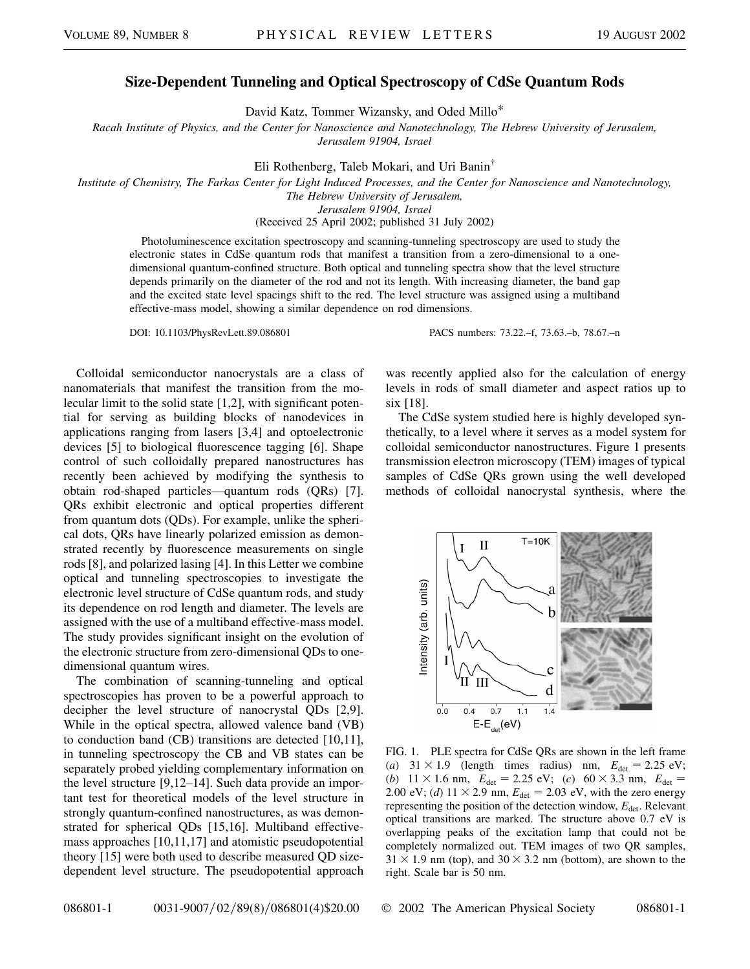## **Size-Dependent Tunneling and Optical Spectroscopy of CdSe Quantum Rods**

David Katz, Tommer Wizansky, and Oded Millo\*

*Racah Institute of Physics, and the Center for Nanoscience and Nanotechnology, The Hebrew University of Jerusalem, Jerusalem 91904, Israel*

Eli Rothenberg, Taleb Mokari, and Uri Banin†

*Institute of Chemistry, The Farkas Center for Light Induced Processes, and the Center for Nanoscience and Nanotechnology, The Hebrew University of Jerusalem,*

*Jerusalem 91904, Israel*

(Received 25 April 2002; published 31 July 2002)

Photoluminescence excitation spectroscopy and scanning-tunneling spectroscopy are used to study the electronic states in CdSe quantum rods that manifest a transition from a zero-dimensional to a onedimensional quantum-confined structure. Both optical and tunneling spectra show that the level structure depends primarily on the diameter of the rod and not its length. With increasing diameter, the band gap and the excited state level spacings shift to the red. The level structure was assigned using a multiband effective-mass model, showing a similar dependence on rod dimensions.

Colloidal semiconductor nanocrystals are a class of nanomaterials that manifest the transition from the molecular limit to the solid state [1,2], with significant potential for serving as building blocks of nanodevices in applications ranging from lasers [3,4] and optoelectronic devices [5] to biological fluorescence tagging [6]. Shape control of such colloidally prepared nanostructures has recently been achieved by modifying the synthesis to obtain rod-shaped particles—quantum rods (QRs) [7]. QRs exhibit electronic and optical properties different from quantum dots (QDs). For example, unlike the spherical dots, QRs have linearly polarized emission as demonstrated recently by fluorescence measurements on single rods [8], and polarized lasing [4]. In this Letter we combine optical and tunneling spectroscopies to investigate the electronic level structure of CdSe quantum rods, and study its dependence on rod length and diameter. The levels are assigned with the use of a multiband effective-mass model. The study provides significant insight on the evolution of the electronic structure from zero-dimensional QDs to onedimensional quantum wires.

The combination of scanning-tunneling and optical spectroscopies has proven to be a powerful approach to decipher the level structure of nanocrystal QDs [2,9]. While in the optical spectra, allowed valence band (VB) to conduction band (CB) transitions are detected [10,11], in tunneling spectroscopy the CB and VB states can be separately probed yielding complementary information on the level structure [9,12–14]. Such data provide an important test for theoretical models of the level structure in strongly quantum-confined nanostructures, as was demonstrated for spherical QDs [15,16]. Multiband effectivemass approaches [10,11,17] and atomistic pseudopotential theory [15] were both used to describe measured QD sizedependent level structure. The pseudopotential approach

DOI: 10.1103/PhysRevLett.89.086801 PACS numbers: 73.22.–f, 73.63.–b, 78.67.–n

was recently applied also for the calculation of energy levels in rods of small diameter and aspect ratios up to six [18].

The CdSe system studied here is highly developed synthetically, to a level where it serves as a model system for colloidal semiconductor nanostructures. Figure 1 presents transmission electron microscopy (TEM) images of typical samples of CdSe QRs grown using the well developed methods of colloidal nanocrystal synthesis, where the



FIG. 1. PLE spectra for CdSe QRs are shown in the left frame (*a*)  $31 \times 1.9$  (length times radius) nm,  $E_{\text{det}} = 2.25 \text{ eV}$ ; (*b*)  $11 \times 1.6$  nm,  $E_{\text{det}} = 2.25$  eV; (*c*)  $60 \times 3.3$  nm,  $E_{\text{det}} =$ 2.00 eV; (*d*)  $11 \times 2.9$  nm,  $E_{\text{det}} = 2.03$  eV, with the zero energy representing the position of the detection window,  $E_{\text{det}}$ . Relevant optical transitions are marked. The structure above 0.7 eV is overlapping peaks of the excitation lamp that could not be completely normalized out. TEM images of two QR samples,  $31 \times 1.9$  nm (top), and  $30 \times 3.2$  nm (bottom), are shown to the right. Scale bar is 50 nm.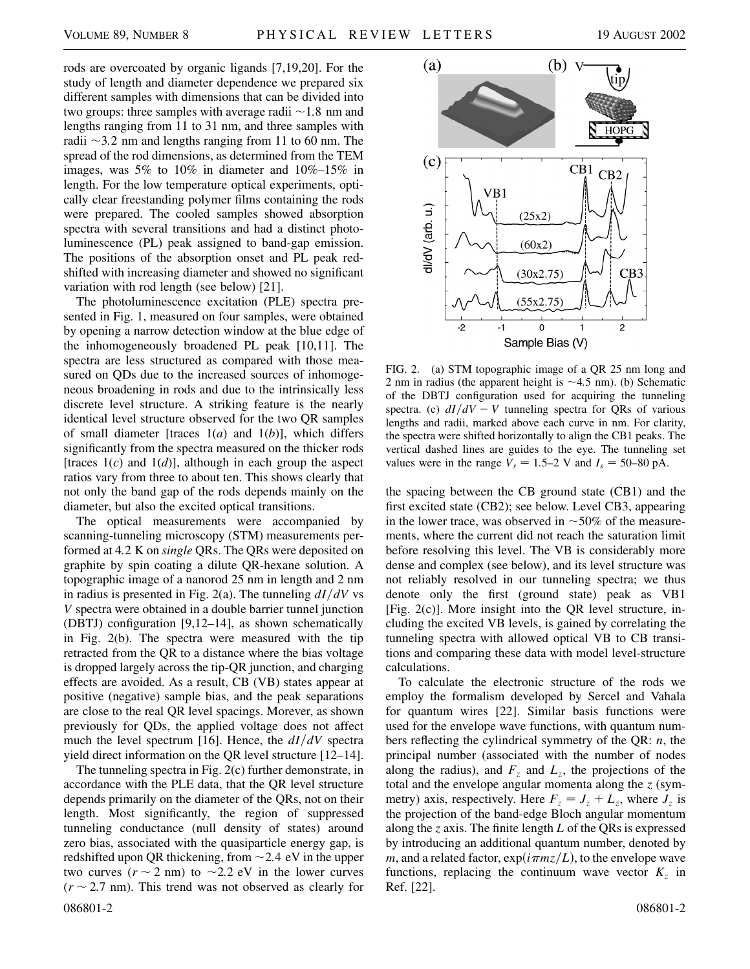rods are overcoated by organic ligands [7,19,20]. For the study of length and diameter dependence we prepared six different samples with dimensions that can be divided into two groups: three samples with average radii  $\sim$  1.8 nm and lengths ranging from 11 to 31 nm, and three samples with radii  $\sim$ 3.2 nm and lengths ranging from 11 to 60 nm. The spread of the rod dimensions, as determined from the TEM images, was 5% to 10% in diameter and 10%–15% in length. For the low temperature optical experiments, optically clear freestanding polymer films containing the rods were prepared. The cooled samples showed absorption spectra with several transitions and had a distinct photoluminescence (PL) peak assigned to band-gap emission. The positions of the absorption onset and PL peak redshifted with increasing diameter and showed no significant variation with rod length (see below) [21].

The photoluminescence excitation (PLE) spectra presented in Fig. 1, measured on four samples, were obtained by opening a narrow detection window at the blue edge of the inhomogeneously broadened PL peak [10,11]. The spectra are less structured as compared with those measured on QDs due to the increased sources of inhomogeneous broadening in rods and due to the intrinsically less discrete level structure. A striking feature is the nearly identical level structure observed for the two QR samples of small diameter [traces 1(*a*) and 1(*b*)], which differs significantly from the spectra measured on the thicker rods [traces 1(*c*) and 1(*d*)], although in each group the aspect ratios vary from three to about ten. This shows clearly that not only the band gap of the rods depends mainly on the diameter, but also the excited optical transitions.

The optical measurements were accompanied by scanning-tunneling microscopy (STM) measurements performed at 4*:*2 K on *single* QRs. The QRs were deposited on graphite by spin coating a dilute QR-hexane solution. A topographic image of a nanorod 25 nm in length and 2 nm in radius is presented in Fig. 2(a). The tunneling  $dI/dV$  vs *V* spectra were obtained in a double barrier tunnel junction (DBTJ) configuration [9,12–14], as shown schematically in Fig. 2(b). The spectra were measured with the tip retracted from the QR to a distance where the bias voltage is dropped largely across the tip-QR junction, and charging effects are avoided. As a result, CB (VB) states appear at positive (negative) sample bias, and the peak separations are close to the real QR level spacings. Morever, as shown previously for QDs, the applied voltage does not affect much the level spectrum [16]. Hence, the  $dI/dV$  spectra yield direct information on the QR level structure [12–14].

The tunneling spectra in Fig. 2(c) further demonstrate, in accordance with the PLE data, that the QR level structure depends primarily on the diameter of the QRs, not on their length. Most significantly, the region of suppressed tunneling conductance (null density of states) around zero bias, associated with the quasiparticle energy gap, is redshifted upon QR thickening, from  $\sim$  2.4 eV in the upper two curves  $(r \sim 2 \text{ nm})$  to  $\sim 2.2 \text{ eV}$  in the lower curves  $(r \sim 2.7 \text{ nm})$ . This trend was not observed as clearly for 086801-2 086801-2 086801-2 086801-2 086801-2 086801-2 086801-2 086801-2 086801-2



FIG. 2. (a) STM topographic image of a QR 25 nm long and 2 nm in radius (the apparent height is  $\sim$  4.5 nm). (b) Schematic of the DBTJ configuration used for acquiring the tunneling spectra. (c)  $dI/dV - V$  tunneling spectra for QRs of various lengths and radii, marked above each curve in nm. For clarity, the spectra were shifted horizontally to align the CB1 peaks. The vertical dashed lines are guides to the eye. The tunneling set values were in the range  $V_s = 1.5{\text -}2$  V and  $I_s = 50{\text -}80$  pA.

the spacing between the CB ground state (CB1) and the first excited state (CB2); see below. Level CB3, appearing in the lower trace, was observed in  $\sim$  50% of the measurements, where the current did not reach the saturation limit before resolving this level. The VB is considerably more dense and complex (see below), and its level structure was not reliably resolved in our tunneling spectra; we thus denote only the first (ground state) peak as VB1 [Fig. 2(c)]. More insight into the QR level structure, including the excited VB levels, is gained by correlating the tunneling spectra with allowed optical VB to CB transitions and comparing these data with model level-structure calculations.

To calculate the electronic structure of the rods we employ the formalism developed by Sercel and Vahala for quantum wires [22]. Similar basis functions were used for the envelope wave functions, with quantum numbers reflecting the cylindrical symmetry of the QR: *n*, the principal number (associated with the number of nodes along the radius), and  $F_z$  and  $L_z$ , the projections of the total and the envelope angular momenta along the *z* (symmetry) axis, respectively. Here  $F_z = J_z + L_z$ , where  $J_z$  is the projection of the band-edge Bloch angular momentum along the *z* axis. The finite length *L* of the QRs is expressed by introducing an additional quantum number, denoted by *m*, and a related factor,  $exp(i \pi m z/L)$ , to the envelope wave functions, replacing the continuum wave vector  $K_z$  in Ref. [22].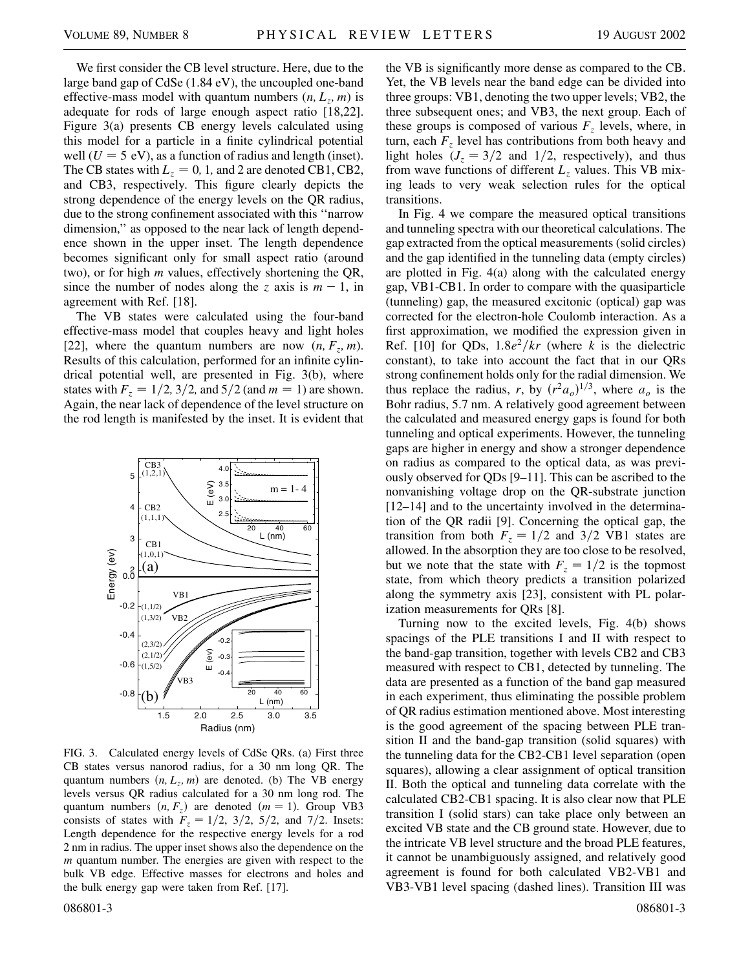We first consider the CB level structure. Here, due to the large band gap of CdSe (1.84 eV), the uncoupled one-band effective-mass model with quantum numbers  $(n, L_z, m)$  is adequate for rods of large enough aspect ratio [18,22]. Figure 3(a) presents CB energy levels calculated using this model for a particle in a finite cylindrical potential well  $(U = 5$  eV), as a function of radius and length (inset). The CB states with  $L_z = 0$ , 1, and 2 are denoted CB1, CB2, and CB3, respectively. This figure clearly depicts the strong dependence of the energy levels on the QR radius, due to the strong confinement associated with this ''narrow dimension,'' as opposed to the near lack of length dependence shown in the upper inset. The length dependence becomes significant only for small aspect ratio (around two), or for high *m* values, effectively shortening the QR, since the number of nodes along the *z* axis is  $m - 1$ , in agreement with Ref. [18].

The VB states were calculated using the four-band effective-mass model that couples heavy and light holes [22], where the quantum numbers are now  $(n, F_z, m)$ . Results of this calculation, performed for an infinite cylindrical potential well, are presented in Fig. 3(b), where states with  $F_z = 1/2$ , 3/2, and 5/2 (and  $m = 1$ ) are shown. Again, the near lack of dependence of the level structure on the rod length is manifested by the inset. It is evident that



FIG. 3. Calculated energy levels of CdSe QRs. (a) First three CB states versus nanorod radius, for a 30 nm long QR. The quantum numbers  $(n, L_z, m)$  are denoted. (b) The VB energy levels versus QR radius calculated for a 30 nm long rod. The quantum numbers  $(n, F_z)$  are denoted  $(m = 1)$ . Group VB3 consists of states with  $F_z = 1/2$ ,  $3/2$ ,  $5/2$ , and  $7/2$ . Insets: Length dependence for the respective energy levels for a rod 2 nm in radius. The upper inset shows also the dependence on the *m* quantum number. The energies are given with respect to the bulk VB edge. Effective masses for electrons and holes and the bulk energy gap were taken from Ref. [17].

086801-3 086801-3

the VB is significantly more dense as compared to the CB. Yet, the VB levels near the band edge can be divided into three groups: VB1, denoting the two upper levels; VB2, the three subsequent ones; and VB3, the next group. Each of these groups is composed of various  $F<sub>z</sub>$  levels, where, in turn, each  $F_z$  level has contributions from both heavy and light holes  $(J_z = 3/2$  and  $1/2$ , respectively), and thus from wave functions of different  $L_z$  values. This VB mixing leads to very weak selection rules for the optical transitions.

In Fig. 4 we compare the measured optical transitions and tunneling spectra with our theoretical calculations. The gap extracted from the optical measurements (solid circles) and the gap identified in the tunneling data (empty circles) are plotted in Fig. 4(a) along with the calculated energy gap, VB1-CB1. In order to compare with the quasiparticle (tunneling) gap, the measured excitonic (optical) gap was corrected for the electron-hole Coulomb interaction. As a first approximation, we modified the expression given in Ref. [10] for QDs,  $1.8e^2/kr$  (where *k* is the dielectric constant), to take into account the fact that in our QRs strong confinement holds only for the radial dimension. We thus replace the radius, *r*, by  $(r^2 a_o)^{1/3}$ , where  $a_o$  is the Bohr radius, 5.7 nm. A relatively good agreement between the calculated and measured energy gaps is found for both tunneling and optical experiments. However, the tunneling gaps are higher in energy and show a stronger dependence on radius as compared to the optical data, as was previously observed for QDs [9–11]. This can be ascribed to the nonvanishing voltage drop on the QR-substrate junction [12–14] and to the uncertainty involved in the determination of the QR radii [9]. Concerning the optical gap, the transition from both  $F_z = 1/2$  and  $3/2$  VB1 states are allowed. In the absorption they are too close to be resolved, but we note that the state with  $F_z = 1/2$  is the topmost state, from which theory predicts a transition polarized along the symmetry axis [23], consistent with PL polarization measurements for QRs [8].

Turning now to the excited levels, Fig. 4(b) shows spacings of the PLE transitions I and II with respect to the band-gap transition, together with levels CB2 and CB3 measured with respect to CB1, detected by tunneling. The data are presented as a function of the band gap measured in each experiment, thus eliminating the possible problem of QR radius estimation mentioned above. Most interesting is the good agreement of the spacing between PLE transition II and the band-gap transition (solid squares) with the tunneling data for the CB2-CB1 level separation (open squares), allowing a clear assignment of optical transition II. Both the optical and tunneling data correlate with the calculated CB2-CB1 spacing. It is also clear now that PLE transition I (solid stars) can take place only between an excited VB state and the CB ground state. However, due to the intricate VB level structure and the broad PLE features, it cannot be unambiguously assigned, and relatively good agreement is found for both calculated VB2-VB1 and VB3-VB1 level spacing (dashed lines). Transition III was